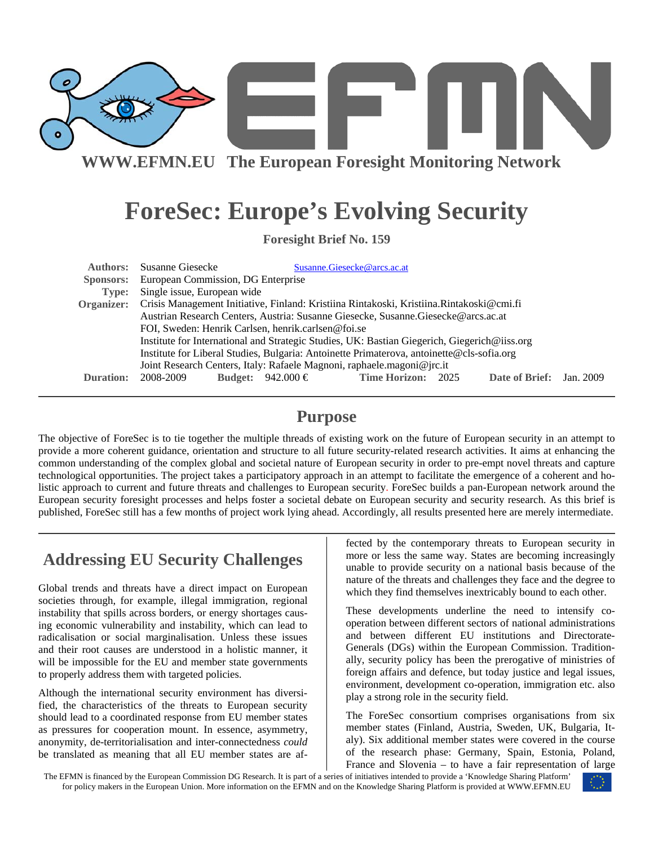

**WWW.EFMN.EU The European Foresight Monitoring Network**

# **ForeSec: Europe's Evolving Security**

**Foresight Brief No. 159** 

| <b>Authors:</b> | Susanne Giesecke                                                                                                                                   |                   | Susanne.Giesecke@arcs.ac.at |  |                |           |  |
|-----------------|----------------------------------------------------------------------------------------------------------------------------------------------------|-------------------|-----------------------------|--|----------------|-----------|--|
|                 | Sponsors: European Commission, DG Enterprise                                                                                                       |                   |                             |  |                |           |  |
| Type:           | Single issue, European wide                                                                                                                        |                   |                             |  |                |           |  |
|                 | Organizer: Crisis Management Initiative, Finland: Kristiina Rintakoski, Kristiina. Rintakoski@cmi.fi                                               |                   |                             |  |                |           |  |
|                 | Austrian Research Centers, Austria: Susanne Giesecke, Susanne.Giesecke@arcs.ac.at                                                                  |                   |                             |  |                |           |  |
|                 | FOI, Sweden: Henrik Carlsen, henrik.carlsen@foi.se<br>Institute for International and Strategic Studies, UK: Bastian Giegerich, Giegerich@iiss.org |                   |                             |  |                |           |  |
|                 |                                                                                                                                                    |                   |                             |  |                |           |  |
|                 | Institute for Liberal Studies, Bulgaria: Antoinette Primaterova, antoinette@cls-sofia.org                                                          |                   |                             |  |                |           |  |
|                 | Joint Research Centers, Italy: Rafaele Magnoni, raphaele magoni@jrc.it                                                                             |                   |                             |  |                |           |  |
| Duration:       | 2008-2009                                                                                                                                          | Budget: 942.000 € | <b>Time Horizon: 2025</b>   |  | Date of Brief: | Jan. 2009 |  |

#### **Purpose**

The objective of ForeSec is to tie together the multiple threads of existing work on the future of European security in an attempt to provide a more coherent guidance, orientation and structure to all future security-related research activities. It aims at enhancing the common understanding of the complex global and societal nature of European security in order to pre-empt novel threats and capture technological opportunities. The project takes a participatory approach in an attempt to facilitate the emergence of a coherent and holistic approach to current and future threats and challenges to European security. ForeSec builds a pan-European network around the European security foresight processes and helps foster a societal debate on European security and security research. As this brief is published, ForeSec still has a few months of project work lying ahead. Accordingly, all results presented here are merely intermediate.

## **Addressing EU Security Challenges**

Global trends and threats have a direct impact on European societies through, for example, illegal immigration, regional instability that spills across borders, or energy shortages causing economic vulnerability and instability, which can lead to radicalisation or social marginalisation. Unless these issues and their root causes are understood in a holistic manner, it will be impossible for the EU and member state governments to properly address them with targeted policies.

Although the international security environment has diversified, the characteristics of the threats to European security should lead to a coordinated response from EU member states as pressures for cooperation mount. In essence, asymmetry, anonymity, de-territorialisation and inter-connectedness *could* be translated as meaning that all EU member states are af-

fected by the contemporary threats to European security in more or less the same way. States are becoming increasingly unable to provide security on a national basis because of the nature of the threats and challenges they face and the degree to which they find themselves inextricably bound to each other.

These developments underline the need to intensify cooperation between different sectors of national administrations and between different EU institutions and Directorate-Generals (DGs) within the European Commission. Traditionally, security policy has been the prerogative of ministries of foreign affairs and defence, but today justice and legal issues, environment, development co-operation, immigration etc. also play a strong role in the security field.

The ForeSec consortium comprises organisations from six member states (Finland, Austria, Sweden, UK, Bulgaria, Italy). Six additional member states were covered in the course of the research phase: Germany, Spain, Estonia, Poland, France and Slovenia – to have a fair representation of large

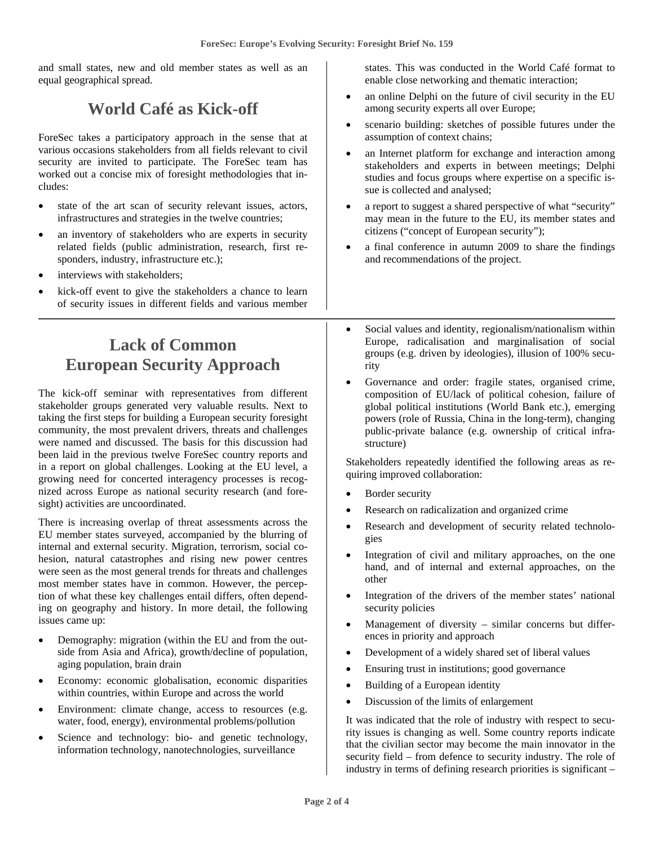and small states, new and old member states as well as an equal geographical spread.

#### **World Café as Kick-off**

ForeSec takes a participatory approach in the sense that at various occasions stakeholders from all fields relevant to civil security are invited to participate. The ForeSec team has worked out a concise mix of foresight methodologies that includes:

- state of the art scan of security relevant issues, actors, infrastructures and strategies in the twelve countries;
- an inventory of stakeholders who are experts in security related fields (public administration, research, first responders, industry, infrastructure etc.);
- interviews with stakeholders;
- kick-off event to give the stakeholders a chance to learn of security issues in different fields and various member

### **Lack of Common European Security Approach**

The kick-off seminar with representatives from different stakeholder groups generated very valuable results. Next to taking the first steps for building a European security foresight community, the most prevalent drivers, threats and challenges were named and discussed. The basis for this discussion had been laid in the previous twelve ForeSec country reports and in a report on global challenges. Looking at the EU level, a growing need for concerted interagency processes is recognized across Europe as national security research (and foresight) activities are uncoordinated.

There is increasing overlap of threat assessments across the EU member states surveyed, accompanied by the blurring of internal and external security. Migration, terrorism, social cohesion, natural catastrophes and rising new power centres were seen as the most general trends for threats and challenges most member states have in common. However, the perception of what these key challenges entail differs, often depending on geography and history. In more detail, the following issues came up:

- Demography: migration (within the EU and from the outside from Asia and Africa), growth/decline of population, aging population, brain drain
- Economy: economic globalisation, economic disparities within countries, within Europe and across the world
- Environment: climate change, access to resources (e.g. water, food, energy), environmental problems/pollution
- Science and technology: bio- and genetic technology, information technology, nanotechnologies, surveillance

states. This was conducted in the World Café format to enable close networking and thematic interaction;

- an online Delphi on the future of civil security in the EU among security experts all over Europe;
- scenario building: sketches of possible futures under the assumption of context chains;
- an Internet platform for exchange and interaction among stakeholders and experts in between meetings; Delphi studies and focus groups where expertise on a specific issue is collected and analysed;
- a report to suggest a shared perspective of what "security" may mean in the future to the EU, its member states and citizens ("concept of European security");
- a final conference in autumn 2009 to share the findings and recommendations of the project.
- Social values and identity, regionalism/nationalism within Europe, radicalisation and marginalisation of social groups (e.g. driven by ideologies), illusion of 100% security
- Governance and order: fragile states, organised crime, composition of EU/lack of political cohesion, failure of global political institutions (World Bank etc.), emerging powers (role of Russia, China in the long-term), changing public-private balance (e.g. ownership of critical infrastructure)

Stakeholders repeatedly identified the following areas as requiring improved collaboration:

- Border security
- Research on radicalization and organized crime
- Research and development of security related technologies
- Integration of civil and military approaches, on the one hand, and of internal and external approaches, on the other
- Integration of the drivers of the member states' national security policies
- Management of diversity  $-$  similar concerns but differences in priority and approach
- Development of a widely shared set of liberal values
- Ensuring trust in institutions; good governance
- Building of a European identity
- Discussion of the limits of enlargement

It was indicated that the role of industry with respect to security issues is changing as well. Some country reports indicate that the civilian sector may become the main innovator in the security field – from defence to security industry. The role of industry in terms of defining research priorities is significant –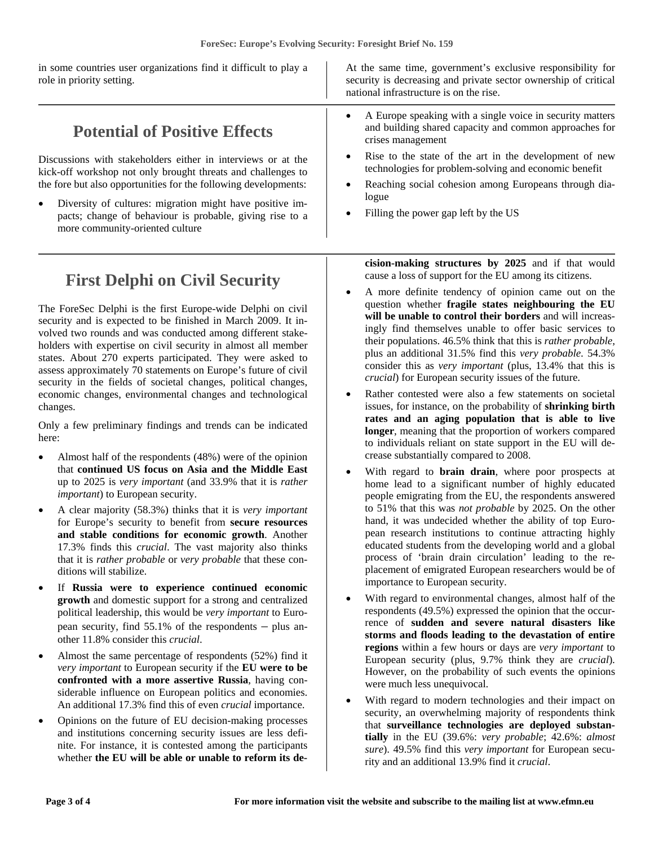| in some countries user organizations find it difficult to play a<br>role in priority setting.                                                                                                                                                                                                                                                                           | At the same time, government's exclusive responsibility for<br>security is decreasing and private sector ownership of critical<br>national infrastructure is on the rise.                                                 |  |  |  |
|-------------------------------------------------------------------------------------------------------------------------------------------------------------------------------------------------------------------------------------------------------------------------------------------------------------------------------------------------------------------------|---------------------------------------------------------------------------------------------------------------------------------------------------------------------------------------------------------------------------|--|--|--|
| <b>Potential of Positive Effects</b>                                                                                                                                                                                                                                                                                                                                    | A Europe speaking with a single voice in security matters<br>and building shared capacity and common approaches for<br>crises management                                                                                  |  |  |  |
| Discussions with stakeholders either in interviews or at the<br>kick-off workshop not only brought threats and challenges to<br>the fore but also opportunities for the following developments:<br>Diversity of cultures: migration might have positive im-<br>$\bullet$<br>pacts; change of behaviour is probable, giving rise to a<br>more community-oriented culture | Rise to the state of the art in the development of new<br>technologies for problem-solving and economic benefit<br>Reaching social cohesion among Europeans through dia-<br>logue<br>Filling the power gap left by the US |  |  |  |

### **First Delphi on Civil Security**

The ForeSec Delphi is the first Europe-wide Delphi on civil security and is expected to be finished in March 2009. It involved two rounds and was conducted among different stakeholders with expertise on civil security in almost all member states. About 270 experts participated. They were asked to assess approximately 70 statements on Europe's future of civil security in the fields of societal changes, political changes, economic changes, environmental changes and technological changes.

Only a few preliminary findings and trends can be indicated here:

- Almost half of the respondents (48%) were of the opinion that **continued US focus on Asia and the Middle East** up to 2025 is *very important* (and 33.9% that it is *rather important*) to European security.
- A clear majority (58.3%) thinks that it is *very important* for Europe's security to benefit from **secure resources and stable conditions for economic growth**. Another 17.3% finds this *crucial*. The vast majority also thinks that it is *rather probable* or *very probable* that these conditions will stabilize.
- If **Russia were to experience continued economic growth** and domestic support for a strong and centralized political leadership, this would be *very important* to European security, find 55.1% of the respondents – plus another 11.8% consider this *crucial*.
- Almost the same percentage of respondents (52%) find it *very important* to European security if the **EU were to be confronted with a more assertive Russia**, having considerable influence on European politics and economies. An additional 17.3% find this of even *crucial* importance.
- Opinions on the future of EU decision-making processes and institutions concerning security issues are less definite. For instance, it is contested among the participants whether **the EU will be able or unable to reform its de-**

**cision-making structures by 2025** and if that would cause a loss of support for the EU among its citizens.

- A more definite tendency of opinion came out on the question whether **fragile states neighbouring the EU will be unable to control their borders** and will increasingly find themselves unable to offer basic services to their populations. 46.5% think that this is *rather probable*, plus an additional 31.5% find this *very probable*. 54.3% consider this as *very important* (plus, 13.4% that this is *crucial*) for European security issues of the future.
- Rather contested were also a few statements on societal issues, for instance, on the probability of **shrinking birth rates and an aging population that is able to live longer**, meaning that the proportion of workers compared to individuals reliant on state support in the EU will decrease substantially compared to 2008.
- With regard to **brain drain**, where poor prospects at home lead to a significant number of highly educated people emigrating from the EU, the respondents answered to 51% that this was *not probable* by 2025. On the other hand, it was undecided whether the ability of top European research institutions to continue attracting highly educated students from the developing world and a global process of 'brain drain circulation' leading to the replacement of emigrated European researchers would be of importance to European security.
- With regard to environmental changes, almost half of the respondents (49.5%) expressed the opinion that the occurrence of **sudden and severe natural disasters like storms and floods leading to the devastation of entire regions** within a few hours or days are *very important* to European security (plus, 9.7% think they are *crucial*). However, on the probability of such events the opinions were much less unequivocal.
- With regard to modern technologies and their impact on security, an overwhelming majority of respondents think that **surveillance technologies are deployed substantially** in the EU (39.6%: *very probable*; 42.6%: *almost sure*). 49.5% find this *very important* for European security and an additional 13.9% find it *crucial*.